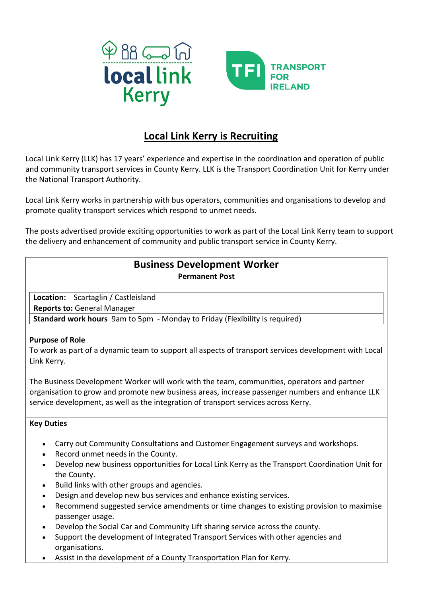



# **Local Link Kerry is Recruiting**

Local Link Kerry (LLK) has 17 years' experience and expertise in the coordination and operation of public and community transport services in County Kerry. LLK is the Transport Coordination Unit for Kerry under the National Transport Authority.

Local Link Kerry works in partnership with bus operators, communities and organisations to develop and promote quality transport services which respond to unmet needs.

The posts advertised provide exciting opportunities to work as part of the Local Link Kerry team to support the delivery and enhancement of community and public transport service in County Kerry.

## **Business Development Worker Permanent Post**

**Location:** Scartaglin / Castleisland

**Reports to:** General Manager

**Standard work hours** 9am to 5pm - Monday to Friday (Flexibility is required)

### **Purpose of Role**

To work as part of a dynamic team to support all aspects of transport services development with Local Link Kerry.

The Business Development Worker will work with the team, communities, operators and partner organisation to grow and promote new business areas, increase passenger numbers and enhance LLK service development, as well as the integration of transport services across Kerry.

### **Key Duties**

- Carry out Community Consultations and Customer Engagement surveys and workshops.
- Record unmet needs in the County.
- Develop new business opportunities for Local Link Kerry as the Transport Coordination Unit for the County.
- Build links with other groups and agencies.
- Design and develop new bus services and enhance existing services.
- Recommend suggested service amendments or time changes to existing provision to maximise passenger usage.
- Develop the Social Car and Community Lift sharing service across the county.
- Support the development of Integrated Transport Services with other agencies and organisations.
- Assist in the development of a County Transportation Plan for Kerry.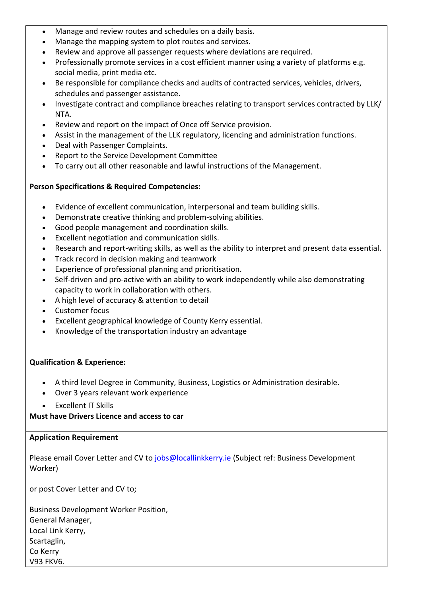- Manage and review routes and schedules on a daily basis.
- Manage the mapping system to plot routes and services.
- Review and approve all passenger requests where deviations are required.
- Professionally promote services in a cost efficient manner using a variety of platforms e.g. social media, print media etc.
- Be responsible for compliance checks and audits of contracted services, vehicles, drivers, schedules and passenger assistance.
- Investigate contract and compliance breaches relating to transport services contracted by LLK/ NTA.
- Review and report on the impact of Once off Service provision.
- Assist in the management of the LLK regulatory, licencing and administration functions.
- Deal with Passenger Complaints.
- Report to the Service Development Committee
- To carry out all other reasonable and lawful instructions of the Management.

### **Person Specifications & Required Competencies:**

- Evidence of excellent communication, interpersonal and team building skills.
- Demonstrate creative thinking and problem-solving abilities.
- Good people management and coordination skills.
- Excellent negotiation and communication skills.
- Research and report-writing skills, as well as the ability to interpret and present data essential.
- Track record in decision making and teamwork
- Experience of professional planning and prioritisation.
- Self-driven and pro-active with an ability to work independently while also demonstrating capacity to work in collaboration with others.
- A high level of accuracy & attention to detail
- Customer focus
- Excellent geographical knowledge of County Kerry essential.
- Knowledge of the transportation industry an advantage

### **Qualification & Experience:**

- A third level Degree in Community, Business, Logistics or Administration desirable.
- Over 3 years relevant work experience
- Excellent IT Skills

**Must have Drivers Licence and access to car**

#### **Application Requirement**

Please email Cover Letter and CV to [jobs@locallinkkerry.ie](mailto:jobs@locallinkkerry.ie) (Subject ref: Business Development Worker)

or post Cover Letter and CV to;

Business Development Worker Position, General Manager, Local Link Kerry, Scartaglin, Co Kerry V93 FKV6.